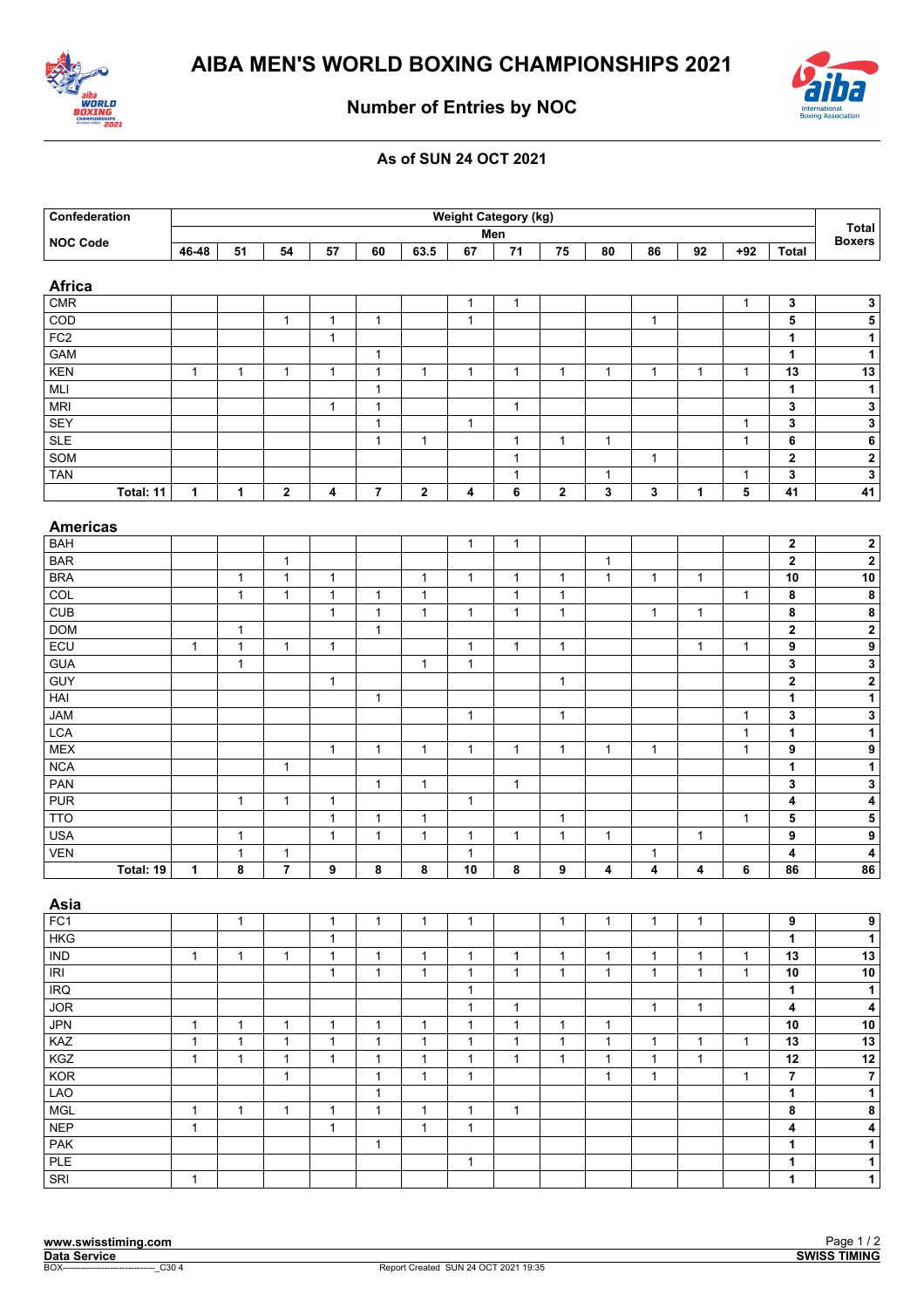



## **Number of Entries by NOC**

## **As of SUN 24 OCT 2021**

| Confederation   | <b>Weight Category (kg)</b> |              |              |              |                |              |                 |              |              |              |              |              |              |                         | Total<br><b>Boxers</b>  |
|-----------------|-----------------------------|--------------|--------------|--------------|----------------|--------------|-----------------|--------------|--------------|--------------|--------------|--------------|--------------|-------------------------|-------------------------|
| <b>NOC Code</b> | Men                         |              |              |              |                |              |                 |              |              |              |              |              |              |                         |                         |
|                 | 46-48                       | 51           | 54           | 57           | 60             | 63.5         | 67              | 71           | 75           | 80           | 86           | 92           | $+92$        | <b>Total</b>            |                         |
| <b>Africa</b>   |                             |              |              |              |                |              |                 |              |              |              |              |              |              |                         |                         |
| <b>CMR</b>      |                             |              |              |              |                |              | $\mathbf{1}$    | $\mathbf{1}$ |              |              |              |              | $\mathbf{1}$ | 3                       | $\mathbf 3$             |
| COD             |                             |              | $\mathbf{1}$ | $\mathbf{1}$ | $\mathbf{1}$   |              | $\mathbf{1}$    |              |              |              | $\mathbf{1}$ |              |              | 5                       |                         |
| FC2             |                             |              |              | $\mathbf{1}$ |                |              |                 |              |              |              |              |              |              | $\mathbf 1$             | $\overline{1}$          |
| <b>GAM</b>      |                             |              |              |              | $\mathbf{1}$   |              |                 |              |              |              |              |              |              | $\mathbf{1}$            | $\mathbf{1}$            |
| <b>KEN</b>      | $\mathbf{1}$                | $\mathbf{1}$ | $\mathbf{1}$ | $\mathbf{1}$ | $\mathbf{1}$   | $\mathbf{1}$ | $\mathbf{1}$    | $\mathbf{1}$ | $\mathbf{1}$ | $\mathbf{1}$ | $\mathbf{1}$ | $\mathbf{1}$ | $\mathbf{1}$ | 13                      | $13$                    |
| MLI             |                             |              |              |              | $\mathbf{1}$   |              |                 |              |              |              |              |              |              | $\mathbf{1}$            | $\mathbf{1}$            |
| <b>MRI</b>      |                             |              |              | $\mathbf{1}$ | $\mathbf{1}$   |              |                 | $\mathbf{1}$ |              |              |              |              |              | 3                       | $\overline{\mathbf{3}}$ |
| <b>SEY</b>      |                             |              |              |              | $\mathbf{1}$   |              | $\mathbf{1}$    |              |              |              |              |              | $\mathbf{1}$ | 3                       | $\overline{\mathbf{3}}$ |
| <b>SLE</b>      |                             |              |              |              | $\mathbf{1}$   | $\mathbf{1}$ |                 | $\mathbf{1}$ | $\mathbf{1}$ | $\mathbf{1}$ |              |              | $\mathbf{1}$ | 6                       | $\overline{\mathbf{6}}$ |
| SOM             |                             |              |              |              |                |              |                 | $\mathbf{1}$ |              |              | $\mathbf{1}$ |              |              | $\overline{\mathbf{2}}$ | $\overline{2}$          |
| <b>TAN</b>      |                             |              |              |              |                |              |                 | $\mathbf{1}$ |              | $\mathbf{1}$ |              |              | $\mathbf{1}$ | 3                       | $\overline{\mathbf{3}}$ |
|                 |                             |              |              |              | $\overline{7}$ | $\mathbf 2$  |                 | 6            | $\mathbf{2}$ | 3            | $\mathbf{3}$ |              |              |                         |                         |
| Total: 11       | $\mathbf{1}$                | $\mathbf{1}$ | $\mathbf 2$  | 4            |                |              | 4               |              |              |              |              | 1            | 5            | 41                      | 41                      |
| <b>Americas</b> |                             |              |              |              |                |              |                 |              |              |              |              |              |              |                         |                         |
| <b>BAH</b>      |                             |              |              |              |                |              | $\mathbf{1}$    | $\mathbf{1}$ |              |              |              |              |              | $\mathbf{2}$            | $\boldsymbol{2}$        |
| <b>BAR</b>      |                             |              | $\mathbf{1}$ |              |                |              |                 |              |              | $\mathbf{1}$ |              |              |              | $\mathbf{2}$            | $\overline{2}$          |
| <b>BRA</b>      |                             | $\mathbf{1}$ | $\mathbf{1}$ | $\mathbf{1}$ |                | $\mathbf{1}$ | $\mathbf{1}$    | $\mathbf{1}$ | $\mathbf{1}$ | $\mathbf{1}$ | $\mathbf{1}$ | $\mathbf{1}$ |              | 10                      | 10                      |
| COL             |                             | $\mathbf{1}$ | $\mathbf{1}$ | $\mathbf{1}$ | $\mathbf{1}$   | $\mathbf{1}$ |                 | $\mathbf{1}$ | $\mathbf{1}$ |              |              |              | $\mathbf{1}$ | 8                       | $\bf8$                  |
| <b>CUB</b>      |                             |              |              | $\mathbf{1}$ | $\mathbf{1}$   | $\mathbf{1}$ | $\mathbf{1}$    | $\mathbf{1}$ | $\mathbf{1}$ |              | $\mathbf{1}$ | $\mathbf{1}$ |              | 8                       | $\pmb{8}$               |
| <b>DOM</b>      |                             | $\mathbf{1}$ |              |              | $\mathbf{1}$   |              |                 |              |              |              |              |              |              | 2                       | $\mathbf 2$             |
| ECU             | $\mathbf{1}$                | $\mathbf{1}$ | $\mathbf{1}$ | $\mathbf{1}$ |                |              | $\mathbf{1}$    | $\mathbf{1}$ | $\mathbf{1}$ |              |              | $\mathbf{1}$ | $\mathbf{1}$ | 9                       | $\overline{9}$          |
| <b>GUA</b>      |                             | $\mathbf{1}$ |              |              |                | $\mathbf{1}$ | $\mathbf{1}$    |              |              |              |              |              |              | $\mathbf 3$             | $\overline{\mathbf{3}}$ |
| <b>GUY</b>      |                             |              |              | $\mathbf{1}$ |                |              |                 |              | $\mathbf{1}$ |              |              |              |              | $\overline{\mathbf{2}}$ | $\overline{\mathbf{2}}$ |
| HAI             |                             |              |              |              | $\mathbf{1}$   |              |                 |              |              |              |              |              |              | $\mathbf 1$             | $\mathbf{1}$            |
| <b>JAM</b>      |                             |              |              |              |                |              | $\mathbf{1}$    |              | $\mathbf{1}$ |              |              |              | $\mathbf{1}$ | 3                       | $\mathbf 3$             |
| <b>LCA</b>      |                             |              |              |              |                |              |                 |              |              |              |              |              | $\mathbf{1}$ | $\mathbf 1$             | $\mathbf{1}$            |
| <b>MEX</b>      |                             |              |              | $\mathbf{1}$ | $\mathbf{1}$   | $\mathbf{1}$ | $\mathbf{1}$    | $\mathbf{1}$ | $\mathbf{1}$ | $\mathbf{1}$ | $\mathbf{1}$ |              | $\mathbf{1}$ | 9                       | $\boldsymbol{9}$        |
| NCA             |                             |              | $\mathbf{1}$ |              |                |              |                 |              |              |              |              |              |              | $\mathbf 1$             | $\overline{\mathbf{1}}$ |
| PAN             |                             |              |              |              | $\mathbf{1}$   | $\mathbf{1}$ |                 | $\mathbf{1}$ |              |              |              |              |              | 3                       | $\overline{\mathbf{3}}$ |
| <b>PUR</b>      |                             | $\mathbf{1}$ | $\mathbf{1}$ | $\mathbf{1}$ |                |              | $\mathbf{1}$    |              |              |              |              |              |              | 4                       | $\pmb{4}$               |
| <b>TTO</b>      |                             |              |              | $\mathbf{1}$ | $\mathbf{1}$   | $\mathbf{1}$ |                 |              | $\mathbf{1}$ |              |              |              | $\mathbf{1}$ | 5                       | ${\bf 5}$               |
| <b>USA</b>      |                             | $\mathbf{1}$ |              | $\mathbf{1}$ | $\mathbf{1}$   | $\mathbf{1}$ | $\mathbf{1}$    | $\mathbf{1}$ | $\mathbf{1}$ | $\mathbf{1}$ |              | $\mathbf{1}$ |              | 9                       | $\boldsymbol{9}$        |
| <b>VEN</b>      |                             | $\mathbf{1}$ | $\mathbf{1}$ |              |                |              | $\mathbf{1}$    |              |              |              | $\mathbf{1}$ |              |              | 4                       | $\pmb{4}$               |
| Total: 19       | 1                           | 8            | $\bf 7$      | 9            | 8              | 8            | $\overline{10}$ | 8            | 9            | 4            | 4            | 4            | 6            | 86                      | ${\bf 86}$              |
|                 |                             |              |              |              |                |              |                 |              |              |              |              |              |              |                         |                         |
| Asia            |                             |              |              |              |                |              |                 |              |              |              |              |              |              |                         |                         |
| FC1             |                             | $\mathbf{1}$ |              | $\mathbf{1}$ | $\mathbf{1}$   | $\mathbf{1}$ | $\mathbf{1}$    |              | $\mathbf{1}$ | $\mathbf{1}$ | $\mathbf{1}$ | $\mathbf{1}$ |              | 9                       | 9                       |
| <b>HKG</b>      |                             |              |              | $\mathbf{1}$ |                |              |                 |              |              |              |              |              |              | $\mathbf{1}$            | $\overline{1}$          |
| <b>IND</b>      | $\mathbf{1}$                | $\mathbf{1}$ | $\mathbf{1}$ | $\mathbf{1}$ | $\mathbf{1}$   | $\mathbf{1}$ | $\mathbf{1}$    | $\mathbf{1}$ | $\mathbf{1}$ | $\mathbf{1}$ | $\mathbf{1}$ | $\mathbf{1}$ | $\mathbf{1}$ | 13                      | 13                      |
| IRI             |                             |              |              | $\mathbf{1}$ | $\mathbf{1}$   | $\mathbf{1}$ | $\mathbf{1}$    | $\mathbf{1}$ | $\mathbf{1}$ | $\mathbf{1}$ | $\mathbf{1}$ | $\mathbf{1}$ | $\mathbf{1}$ | 10                      | 10                      |
| <b>IRQ</b>      |                             |              |              |              |                |              | $\mathbf{1}$    |              |              |              |              |              |              | $\mathbf{1}$            | $\overline{1}$          |
| <b>JOR</b>      |                             |              |              |              |                |              | $\mathbf{1}$    | $\mathbf{1}$ |              |              | $\mathbf{1}$ | $\mathbf{1}$ |              | 4                       | $\overline{\mathbf{4}}$ |
| <b>JPN</b>      | $\mathbf{1}$                | $\mathbf{1}$ | $\mathbf{1}$ | $\mathbf{1}$ | $\mathbf{1}$   | $\mathbf{1}$ | $\mathbf{1}$    | $\mathbf{1}$ | $\mathbf{1}$ | $\mathbf{1}$ |              |              |              | 10                      | $10\,$                  |
| KAZ             | $\mathbf{1}$                | $\mathbf{1}$ | $\mathbf{1}$ | $\mathbf{1}$ | $\mathbf{1}$   | $\mathbf{1}$ | $\mathbf{1}$    | $\mathbf{1}$ | $\mathbf{1}$ | $\mathbf{1}$ | $\mathbf{1}$ | $\mathbf{1}$ | $\mathbf{1}$ | 13                      | 13                      |
| KGZ             | $\mathbf{1}$                | $\mathbf{1}$ | $\mathbf{1}$ | $\mathbf{1}$ | $\mathbf{1}$   | $\mathbf{1}$ | $\mathbf{1}$    | $\mathbf{1}$ | $\mathbf{1}$ | $\mathbf{1}$ | $\mathbf{1}$ | $\mathbf{1}$ |              | $\overline{12}$         | $\overline{12}$         |
| KOR             |                             |              | $\mathbf{1}$ |              | $\mathbf{1}$   | $\mathbf{1}$ | $\mathbf{1}$    |              |              | $\mathbf{1}$ | $\mathbf{1}$ |              | $\mathbf{1}$ | $\overline{7}$          | $\overline{7}$          |
| <b>LAO</b>      |                             |              |              |              | $\mathbf{1}$   |              |                 |              |              |              |              |              |              | $\overline{1}$          | $\overline{1}$          |
| <b>MGL</b>      | $\mathbf{1}$                | $\mathbf{1}$ | $\mathbf{1}$ | $\mathbf{1}$ | $\overline{1}$ | $\mathbf{1}$ | $\mathbf{1}$    | $\mathbf{1}$ |              |              |              |              |              | 8                       | $\bf 8$                 |
| <b>NEP</b>      | $\mathbf{1}$                |              |              | $\mathbf{1}$ |                | $\mathbf{1}$ | $\mathbf{1}$    |              |              |              |              |              |              | 4                       | $\overline{4}$          |
| <b>PAK</b>      |                             |              |              |              | $\mathbf{1}$   |              |                 |              |              |              |              |              |              | $\mathbf 1$             | $\overline{\mathbf{1}}$ |
| PLE             |                             |              |              |              |                |              | $\mathbf{1}$    |              |              |              |              |              |              | $\mathbf{1}$            | $\mathbf{1}$            |
|                 | $\mathbf{1}$                |              |              |              |                |              |                 |              |              |              |              |              |              | $\mathbf{1}$            | $\overline{\mathbf{1}}$ |